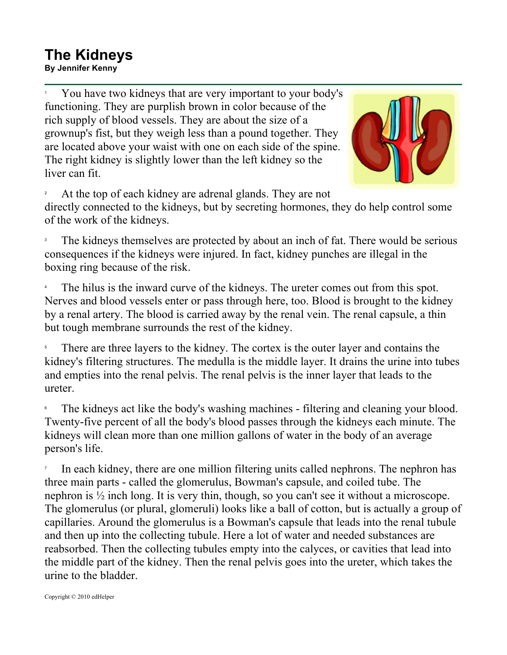## **The Kidneys**

**By Jennifer Kenny**

1 You have two kidneys that are very important to your body's functioning. They are purplish brown in color because of the rich supply of blood vessels. They are about the size of a grownup's fist, but they weigh less than a pound together. They are located above your waist with one on each side of the spine. The right kidney is slightly lower than the left kidney so the liver can fit.



2 At the top of each kidney are adrenal glands. They are not

directly connected to the kidneys, but by secreting hormones, they do help control some of the work of the kidneys.

3 The kidneys themselves are protected by about an inch of fat. There would be serious consequences if the kidneys were injured. In fact, kidney punches are illegal in the boxing ring because of the risk.

4 The hilus is the inward curve of the kidneys. The ureter comes out from this spot. Nerves and blood vessels enter or pass through here, too. Blood is brought to the kidney by a renal artery. The blood is carried away by the renal vein. The renal capsule, a thin but tough membrane surrounds the rest of the kidney.

5 There are three layers to the kidney. The cortex is the outer layer and contains the kidney's filtering structures. The medulla is the middle layer. It drains the urine into tubes and empties into the renal pelvis. The renal pelvis is the inner layer that leads to the ureter.

6 The kidneys act like the body's washing machines - filtering and cleaning your blood. Twenty-five percent of all the body's blood passes through the kidneys each minute. The kidneys will clean more than one million gallons of water in the body of an average person's life.

7 In each kidney, there are one million filtering units called nephrons. The nephron has three main parts - called the glomerulus, Bowman's capsule, and coiled tube. The nephron is ½ inch long. It is very thin, though, so you can't see it without a microscope. The glomerulus (or plural, glomeruli) looks like a ball of cotton, but is actually a group of capillaries. Around the glomerulus is a Bowman's capsule that leads into the renal tubule and then up into the collecting tubule. Here a lot of water and needed substances are reabsorbed. Then the collecting tubules empty into the calyces, or cavities that lead into the middle part of the kidney. Then the renal pelvis goes into the ureter, which takes the urine to the bladder.